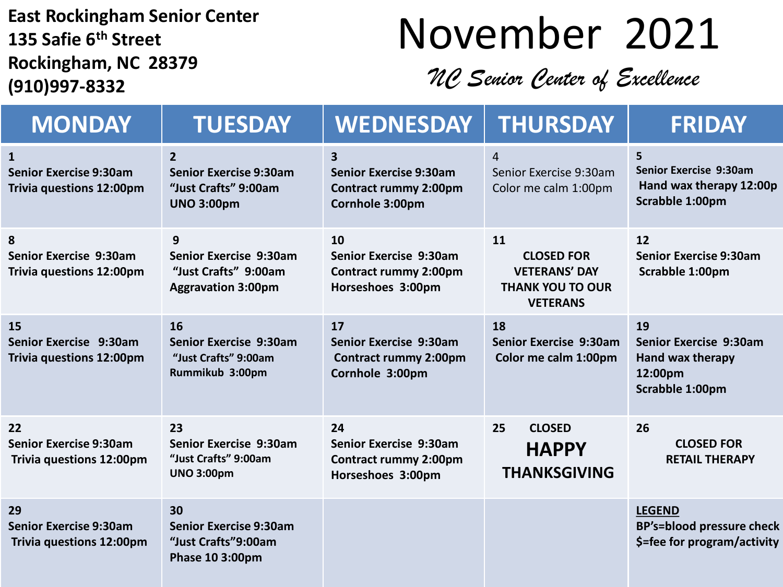**East Rockingham Senior Center 135 Safie 6th Street Rockingham, NC 28379 (910)997-8332**

## November 2021

*NC Senior Center of Excellence*

| <b>MONDAY</b>                                                          | <b>TUESDAY</b>                                                                               | <b>WEDNESDAY</b>                                                                      | <b>THURSDAY</b>                                                                               | <b>FRIDAY</b>                                                                    |
|------------------------------------------------------------------------|----------------------------------------------------------------------------------------------|---------------------------------------------------------------------------------------|-----------------------------------------------------------------------------------------------|----------------------------------------------------------------------------------|
| 1<br><b>Senior Exercise 9:30am</b><br><b>Trivia questions 12:00pm</b>  | $\overline{2}$<br><b>Senior Exercise 9:30am</b><br>"Just Crafts" 9:00am<br><b>UNO 3:00pm</b> | 3<br><b>Senior Exercise 9:30am</b><br><b>Contract rummy 2:00pm</b><br>Cornhole 3:00pm | 4<br>Senior Exercise 9:30am<br>Color me calm 1:00pm                                           | 5<br><b>Senior Exercise 9:30am</b><br>Hand wax therapy 12:00p<br>Scrabble 1:00pm |
| 8<br>Senior Exercise 9:30am<br>Trivia questions 12:00pm                | 9<br>Senior Exercise 9:30am<br>"Just Crafts" 9:00am<br><b>Aggravation 3:00pm</b>             | 10<br>Senior Exercise 9:30am<br><b>Contract rummy 2:00pm</b><br>Horseshoes 3:00pm     | 11<br><b>CLOSED FOR</b><br><b>VETERANS' DAY</b><br><b>THANK YOU TO OUR</b><br><b>VETERANS</b> | 12<br><b>Senior Exercise 9:30am</b><br>Scrabble 1:00pm                           |
| <b>15</b><br>Senior Exercise 9:30am<br>Trivia questions 12:00pm        | 16<br>Senior Exercise 9:30am<br>"Just Crafts" 9:00am<br>Rummikub 3:00pm                      | 17<br>Senior Exercise 9:30am<br><b>Contract rummy 2:00pm</b><br>Cornhole 3:00pm       | 18<br>Senior Exercise 9:30am<br>Color me calm 1:00pm                                          | 19<br>Senior Exercise 9:30am<br>Hand wax therapy<br>12:00pm<br>Scrabble 1:00pm   |
| 22<br><b>Senior Exercise 9:30am</b><br>Trivia questions 12:00pm        | 23<br>Senior Exercise 9:30am<br>"Just Crafts" 9:00am<br><b>UNO 3:00pm</b>                    | 24<br>Senior Exercise 9:30am<br><b>Contract rummy 2:00pm</b><br>Horseshoes 3:00pm     | 25<br><b>CLOSED</b><br><b>HAPPY</b><br><b>THANKSGIVING</b>                                    | 26<br><b>CLOSED FOR</b><br><b>RETAIL THERAPY</b>                                 |
| 29<br><b>Senior Exercise 9:30am</b><br><b>Trivia questions 12:00pm</b> | 30<br><b>Senior Exercise 9:30am</b><br>"Just Crafts"9:00am<br>Phase 10 3:00pm                |                                                                                       |                                                                                               | <b>LEGEND</b><br><b>BP's=blood pressure check</b><br>\$=fee for program/activity |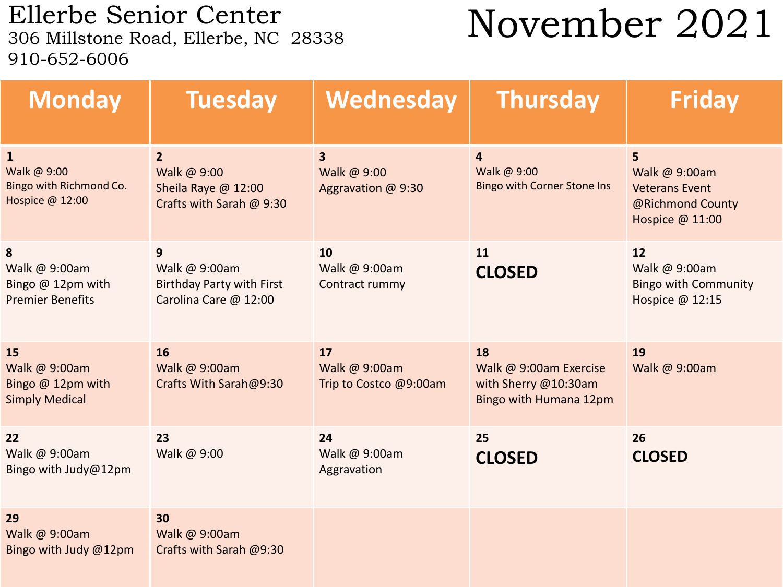Ellerbe Senior Center<br>306 Millstone Road, Ellerbe, NC 28338 910-652-6006

## November 2021

| <b>Monday</b>                                                             | <b>Tuesday</b>                                                                   | Wednesday                                                    | <b>Thursday</b>                                                                | <b>Friday</b>                                                                      |
|---------------------------------------------------------------------------|----------------------------------------------------------------------------------|--------------------------------------------------------------|--------------------------------------------------------------------------------|------------------------------------------------------------------------------------|
| $\mathbf{1}$<br>Walk @ 9:00<br>Bingo with Richmond Co.<br>Hospice @ 12:00 | $\overline{2}$<br>Walk @ 9:00<br>Sheila Raye @ 12:00<br>Crafts with Sarah @ 9:30 | $\overline{\mathbf{3}}$<br>Walk @ 9:00<br>Aggravation @ 9:30 | 4<br>Walk @ 9:00<br><b>Bingo with Corner Stone Ins</b>                         | 5<br>Walk @ 9:00am<br><b>Veterans Event</b><br>@Richmond County<br>Hospice @ 11:00 |
| 8<br>Walk @ 9:00am<br>Bingo @ 12pm with<br><b>Premier Benefits</b>        | 9<br>Walk @ 9:00am<br><b>Birthday Party with First</b><br>Carolina Care @ 12:00  | 10<br>Walk @ 9:00am<br>Contract rummy                        | 11<br><b>CLOSED</b>                                                            | 12<br>Walk @ 9:00am<br><b>Bingo with Community</b><br>Hospice @ 12:15              |
| 15<br>Walk @ 9:00am<br>Bingo @ 12pm with<br><b>Simply Medical</b>         | 16<br>Walk @ 9:00am<br>Crafts With Sarah@9:30                                    | 17<br>Walk @ 9:00am<br>Trip to Costco @9:00am                | 18<br>Walk @ 9:00am Exercise<br>with Sherry @10:30am<br>Bingo with Humana 12pm | 19<br>Walk @ 9:00am                                                                |
| 22<br>Walk @ 9:00am<br>Bingo with Judy@12pm                               | 23<br>Walk @ 9:00                                                                | 24<br>Walk @ 9:00am<br>Aggravation                           | 25<br><b>CLOSED</b>                                                            | 26<br><b>CLOSED</b>                                                                |
| 29<br>Walk @ 9:00am<br>Bingo with Judy @12pm                              | 30<br>Walk @ 9:00am<br>Crafts with Sarah @9:30                                   |                                                              |                                                                                |                                                                                    |